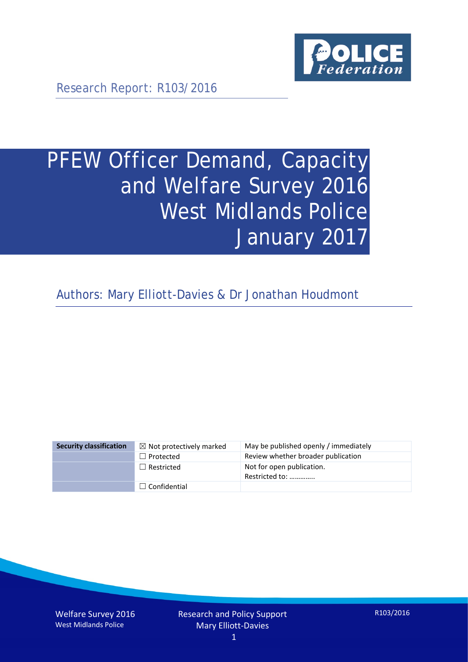

Research Report: R103/2016

# PFEW Officer Demand, Capacity and Welfare Survey 2016 West Midlands Police January 2017

Authors: Mary Elliott-Davies & Dr Jonathan Houdmont

| <b>Security classification</b> | $\boxtimes$ Not protectively marked | May be published openly / immediately       |
|--------------------------------|-------------------------------------|---------------------------------------------|
|                                | $\Box$ Protected                    | Review whether broader publication          |
|                                | $\Box$ Restricted                   | Not for open publication.<br>Restricted to: |
|                                | $\Box$ Confidential                 |                                             |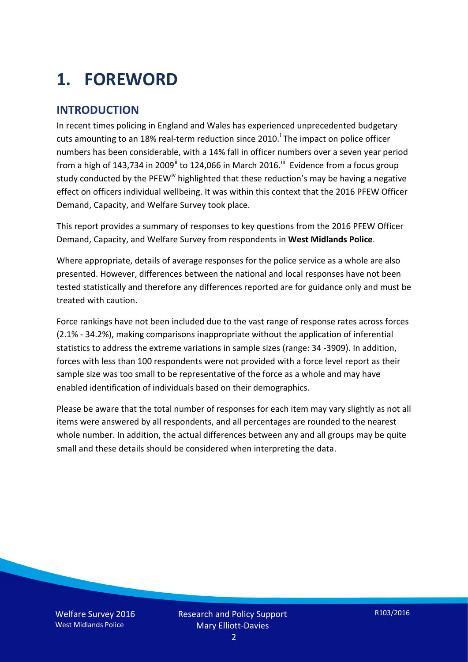# **1. FOREWORD**

#### **INTRODUCTION**

In recent times policing in England and Wales has experienced unprecedented budgetary cuts amount[i](#page-15-0)ng to an 18% real-term reduction since 2010.<sup>1</sup> The impact on police officer numbers has been considerable, with a 14% fall in officer numbers over a seven year period from a high of 143,734 in 2009<sup>[ii](#page-15-1)</sup> to 124,066 in March 2016.<sup>[iii](#page-15-2)</sup> Evidence from a focus group study conducted by the PFEW<sup>[iv](#page-15-3)</sup> highlighted that these reduction's may be having a negative effect on officers individual wellbeing. It was within this context that the 2016 PFEW Officer Demand, Capacity, and Welfare Survey took place.

This report provides a summary of responses to key questions from the 2016 PFEW Officer Demand, Capacity, and Welfare Survey from respondents in **West Midlands Police**.

Where appropriate, details of average responses for the police service as a whole are also presented. However, differences between the national and local responses have not been tested statistically and therefore any differences reported are for guidance only and must be treated with caution.

Force rankings have not been included due to the vast range of response rates across forces (2.1% - 34.2%), making comparisons inappropriate without the application of inferential statistics to address the extreme variations in sample sizes (range: 34 -3909). In addition, forces with less than 100 respondents were not provided with a force level report as their sample size was too small to be representative of the force as a whole and may have enabled identification of individuals based on their demographics.

Please be aware that the total number of responses for each item may vary slightly as not all items were answered by all respondents, and all percentages are rounded to the nearest whole number. In addition, the actual differences between any and all groups may be quite small and these details should be considered when interpreting the data.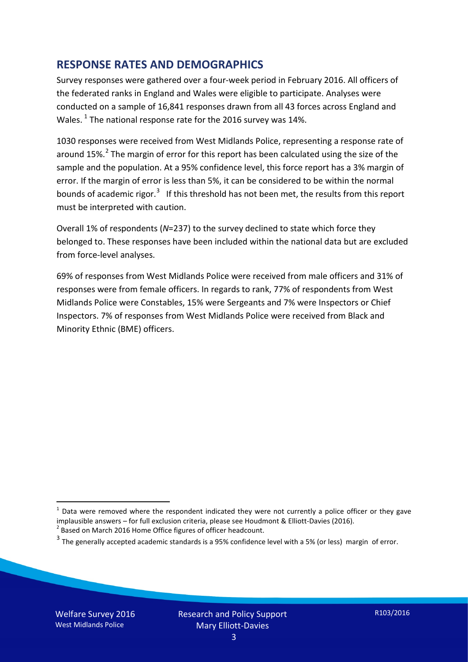#### **RESPONSE RATES AND DEMOGRAPHICS**

Survey responses were gathered over a four-week period in February 2016. All officers of the federated ranks in England and Wales were eligible to participate. Analyses were conducted on a sample of 16,841 responses drawn from all 43 forces across England and Wales.  $^1$  $^1$  The national response rate for the 2016 survey was 14%.

1030 responses were received from West Midlands Police, representing a response rate of around 15%.<sup>[2](#page-2-1)</sup> The margin of error for this report has been calculated using the size of the sample and the population. At a 95% confidence level, this force report has a 3% margin of error. If the margin of error is less than 5%, it can be considered to be within the normal bounds of academic rigor.<sup>[3](#page-2-2)</sup> If this threshold has not been met, the results from this report must be interpreted with caution.

Overall 1% of respondents (*N*=237) to the survey declined to state which force they belonged to. These responses have been included within the national data but are excluded from force-level analyses.

69% of responses from West Midlands Police were received from male officers and 31% of responses were from female officers. In regards to rank, 77% of respondents from West Midlands Police were Constables, 15% were Sergeants and 7% were Inspectors or Chief Inspectors. 7% of responses from West Midlands Police were received from Black and Minority Ethnic (BME) officers.

-

<span id="page-2-0"></span> $1$  Data were removed where the respondent indicated they were not currently a police officer or they gave implausible answers – for full exclusion criteria, please see Houdmont & Elliott-Davies (2016).<br><sup>2</sup> Based on March 2016 Home Office figures of officer headcount.

<span id="page-2-1"></span>

<span id="page-2-2"></span> $3$  The generally accepted academic standards is a 95% confidence level with a 5% (or less) margin of error.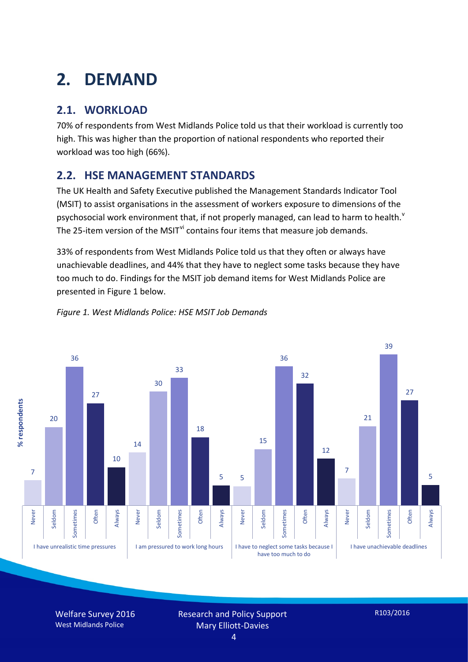# **2. DEMAND**

## **2.1. WORKLOAD**

70% of respondents from West Midlands Police told us that their workload is currently too high. This was higher than the proportion of national respondents who reported their workload was too high (66%).

### **2.2. HSE MANAGEMENT STANDARDS**

The UK Health and Safety Executive published the Management Standards Indicator Tool (MSIT) to assist organisations in the assessment of workers exposure to dimensions of the psychosocial work en[v](#page-15-4)ironment that, if not properly managed, can lead to harm to health.<sup>v</sup> The 25-item version of the MSIT<sup>[vi](#page-15-5)</sup> contains four items that measure job demands.

33% of respondents from West Midlands Police told us that they often or always have unachievable deadlines, and 44% that they have to neglect some tasks because they have too much to do. Findings for the MSIT job demand items for West Midlands Police are presented in Figure 1 below.



#### *Figure 1. West Midlands Police: HSE MSIT Job Demands*

Welfare Survey 2016 West Midlands Police

Research and Policy Support Mary Elliott-Davies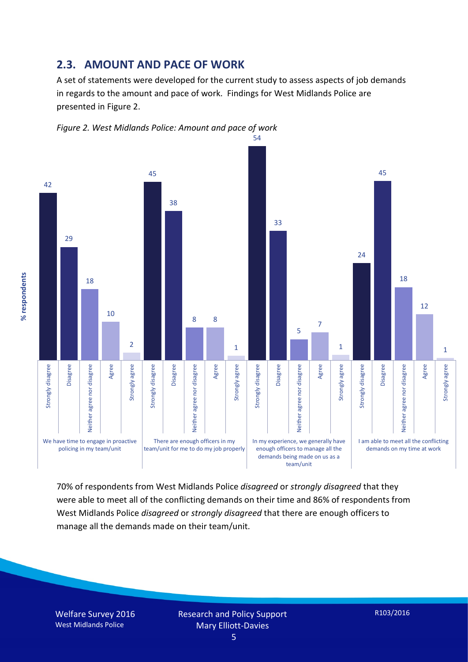#### **2.3. AMOUNT AND PACE OF WORK**

A set of statements were developed for the current study to assess aspects of job demands in regards to the amount and pace of work. Findings for West Midlands Police are presented in Figure 2.





70% of respondents from West Midlands Police *disagreed* or *strongly disagreed* that they were able to meet all of the conflicting demands on their time and 86% of respondents from West Midlands Police *disagreed* or *strongly disagreed* that there are enough officers to manage all the demands made on their team/unit.

Welfare Survey 2016 West Midlands Police

% respondents **% respondents**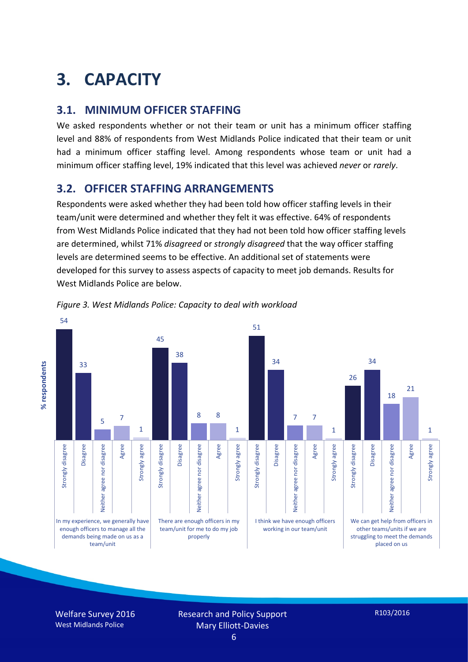# **3. CAPACITY**

#### **3.1. MINIMUM OFFICER STAFFING**

We asked respondents whether or not their team or unit has a minimum officer staffing level and 88% of respondents from West Midlands Police indicated that their team or unit had a minimum officer staffing level. Among respondents whose team or unit had a minimum officer staffing level, 19% indicated that this level was achieved *never* or *rarely*.

#### **3.2. OFFICER STAFFING ARRANGEMENTS**

Respondents were asked whether they had been told how officer staffing levels in their team/unit were determined and whether they felt it was effective. 64% of respondents from West Midlands Police indicated that they had not been told how officer staffing levels are determined, whilst 71% *disagreed* or *strongly disagreed* that the way officer staffing levels are determined seems to be effective. An additional set of statements were developed for this survey to assess aspects of capacity to meet job demands. Results for West Midlands Police are below.





Welfare Survey 2016 West Midlands Police

Research and Policy Support Mary Elliott-Davies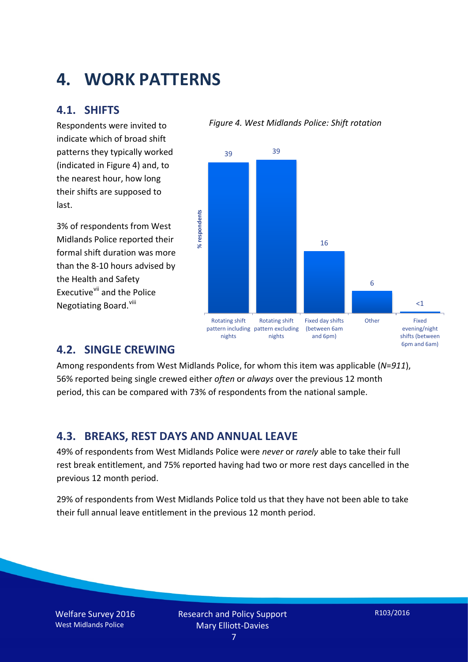## **4. WORK PATTERNS**

#### **4.1. SHIFTS**

Respondents were invited to indicate which of broad shift patterns they typically worked (indicated in Figure 4) and, to the nearest hour, how long their shifts are supposed to last.

3% of respondents from West Midlands Police reported their formal shift duration was more than the 8-10 hours advised by the Health and Safety Executive<sup>[vii](#page-15-6)</sup> and the Police Negotiating Board.<sup>[viii](#page-15-7)</sup>

#### *Figure 4. West Midlands Police: Shift rotation*



#### **4.2. SINGLE CREWING**

Among respondents from West Midlands Police, for whom this item was applicable (*N*=*911*), 56% reported being single crewed either *often* or *always* over the previous 12 month period, this can be compared with 73% of respondents from the national sample.

#### **4.3. BREAKS, REST DAYS AND ANNUAL LEAVE**

49% of respondents from West Midlands Police were *never* or *rarely* able to take their full rest break entitlement, and 75% reported having had two or more rest days cancelled in the previous 12 month period.

29% of respondents from West Midlands Police told us that they have not been able to take their full annual leave entitlement in the previous 12 month period.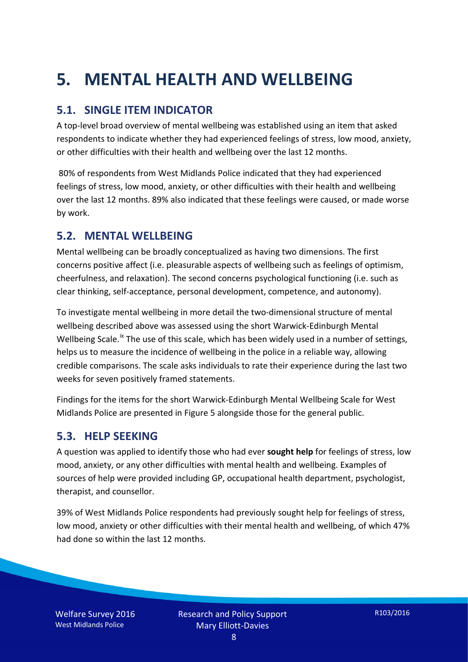# **5. MENTAL HEALTH AND WELLBEING**

### **5.1. SINGLE ITEM INDICATOR**

A top-level broad overview of mental wellbeing was established using an item that asked respondents to indicate whether they had experienced feelings of stress, low mood, anxiety, or other difficulties with their health and wellbeing over the last 12 months.

80% of respondents from West Midlands Police indicated that they had experienced feelings of stress, low mood, anxiety, or other difficulties with their health and wellbeing over the last 12 months. 89% also indicated that these feelings were caused, or made worse by work.

#### **5.2. MENTAL WELLBEING**

Mental wellbeing can be broadly conceptualized as having two dimensions. The first concerns positive affect (i.e. pleasurable aspects of wellbeing such as feelings of optimism, cheerfulness, and relaxation). The second concerns psychological functioning (i.e. such as clear thinking, self-acceptance, personal development, competence, and autonomy).

To investigate mental wellbeing in more detail the two-dimensional structure of mental wellbeing described above was assessed using the short Warwick-Edinburgh Mental Wellbeing Scale.<sup>[ix](#page-15-8)</sup> The use of this scale, which has been widely used in a number of settings, helps us to measure the incidence of wellbeing in the police in a reliable way, allowing credible comparisons. The scale asks individuals to rate their experience during the last two weeks for seven positively framed statements.

Findings for the items for the short Warwick-Edinburgh Mental Wellbeing Scale for West Midlands Police are presented in Figure 5 alongside those for the general public.

#### **5.3. HELP SEEKING**

A question was applied to identify those who had ever **sought help** for feelings of stress, low mood, anxiety, or any other difficulties with mental health and wellbeing. Examples of sources of help were provided including GP, occupational health department, psychologist, therapist, and counsellor.

39% of West Midlands Police respondents had previously sought help for feelings of stress, low mood, anxiety or other difficulties with their mental health and wellbeing, of which 47% had done so within the last 12 months.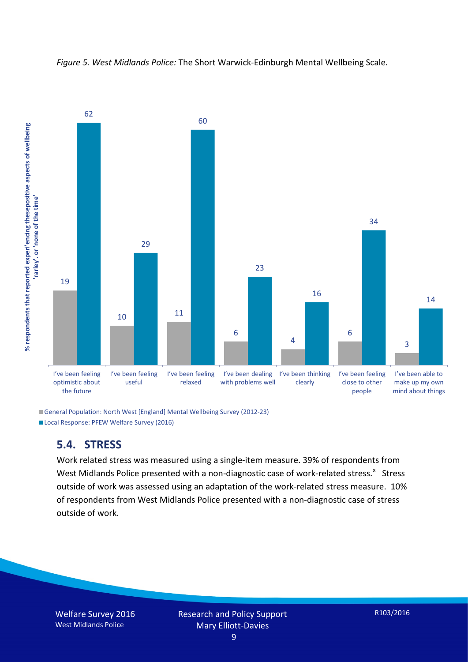



General Population: North West [England] Mental Wellbeing Survey (2012-23) Local Response: PFEW Welfare Survey (2016)

#### **5.4. STRESS**

Work related stress was measured using a single-item measure. 39% of respondents from West Midlands Police presented with a non-diagnostic case of work-related stress.<sup>[x](#page-15-9)</sup> Stress outside of work was assessed using an adaptation of the work-related stress measure. 10% of respondents from West Midlands Police presented with a non-diagnostic case of stress outside of work.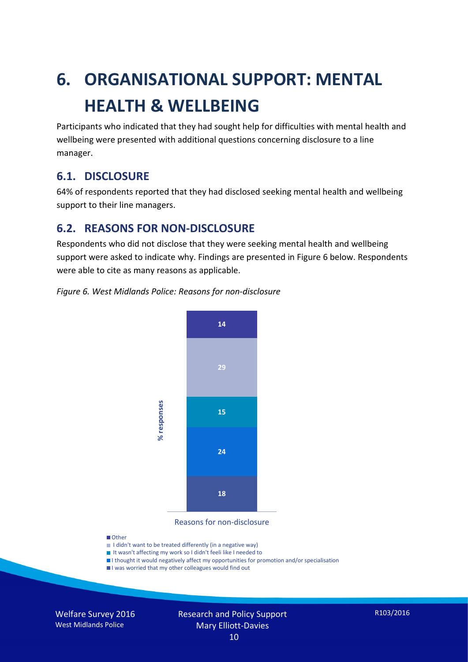# **6. ORGANISATIONAL SUPPORT: MENTAL HEALTH & WELLBEING**

Participants who indicated that they had sought help for difficulties with mental health and wellbeing were presented with additional questions concerning disclosure to a line manager.

#### **6.1. DISCLOSURE**

64% of respondents reported that they had disclosed seeking mental health and wellbeing support to their line managers.

#### **6.2. REASONS FOR NON-DISCLOSURE**

Respondents who did not disclose that they were seeking mental health and wellbeing support were asked to indicate why. Findings are presented in Figure 6 below. Respondents were able to cite as many reasons as applicable.

#### *Figure 6. West Midlands Police: Reasons for non-disclosure*



Reasons for non-disclosure

#### **D**Other

- I didn't want to be treated differently (in a negative way)
- I It wasn't affecting my work so I didn't feeli like I needed to
- I thought it would negatively affect my opportunities for promotion and/or specialisation
- I was worried that my other colleagues would find out

Welfare Survey 2016 West Midlands Police

#### Research and Policy Support Mary Elliott-Davies 10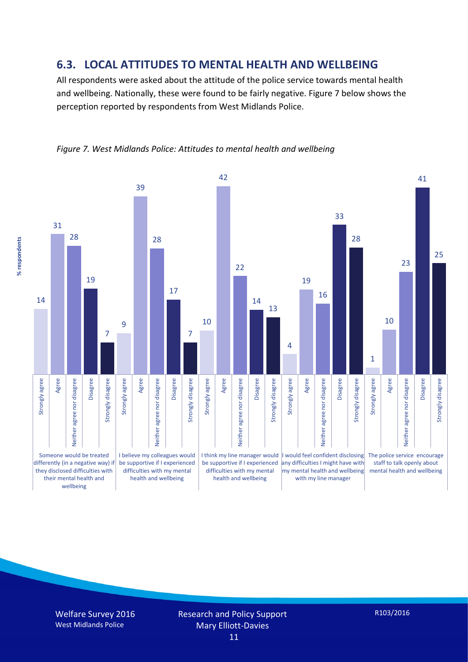#### **6.3. LOCAL ATTITUDES TO MENTAL HEALTH AND WELLBEING**

All respondents were asked about the attitude of the police service towards mental health and wellbeing. Nationally, these were found to be fairly negative. Figure 7 below shows the perception reported by respondents from West Midlands Police.



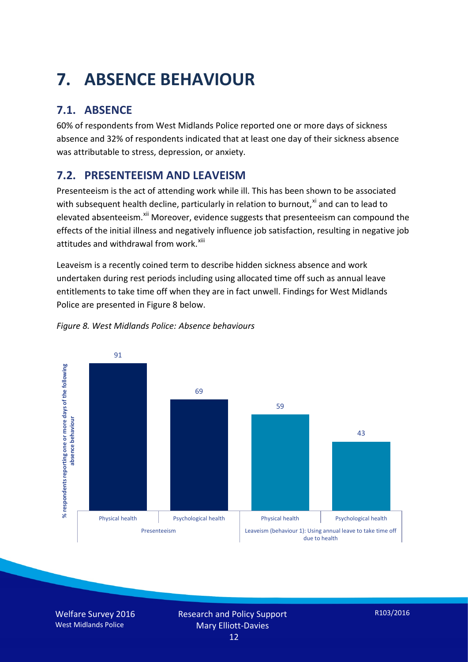# **7. ABSENCE BEHAVIOUR**

## **7.1. ABSENCE**

60% of respondents from West Midlands Police reported one or more days of sickness absence and 32% of respondents indicated that at least one day of their sickness absence was attributable to stress, depression, or anxiety.

## **7.2. PRESENTEEISM AND LEAVEISM**

Presenteeism is the act of attending work while ill. This has been shown to be associated with subsequent health decline, particularly in relation to burnout, $x_i$  and can to lead to elevated absenteeism.<sup>[xii](#page-16-1)</sup> Moreover, evidence suggests that presenteeism can compound the effects of the initial illness and negatively influence job satisfaction, resulting in negative job attitudes and withdrawal from work.<sup>[xiii](#page-16-2)</sup>

Leaveism is a recently coined term to describe hidden sickness absence and work undertaken during rest periods including using allocated time off such as annual leave entitlements to take time off when they are in fact unwell. Findings for West Midlands Police are presented in Figure 8 below.



#### *Figure 8. West Midlands Police: Absence behaviours*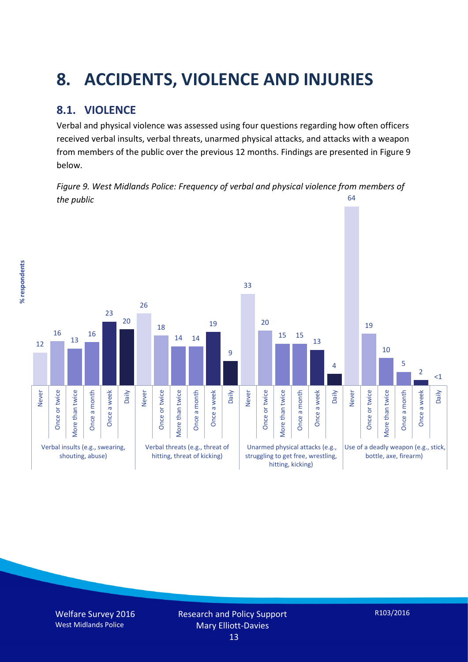# **8. ACCIDENTS, VIOLENCE AND INJURIES**

## **8.1. VIOLENCE**

% respondents **% respondents** Verbal and physical violence was assessed using four questions regarding how often officers received verbal insults, verbal threats, unarmed physical attacks, and attacks with a weapon from members of the public over the previous 12 months. Findings are presented in Figure 9 below.

*Figure 9. West Midlands Police: Frequency of verbal and physical violence from members of the public* 64

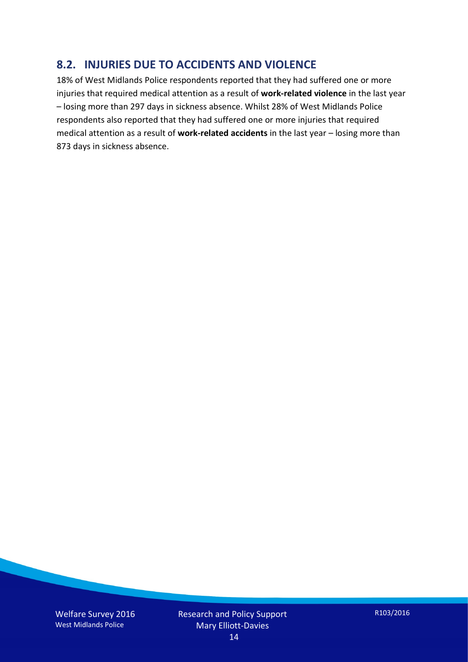#### **8.2. INJURIES DUE TO ACCIDENTS AND VIOLENCE**

18% of West Midlands Police respondents reported that they had suffered one or more injuries that required medical attention as a result of **work-related violence** in the last year – losing more than 297 days in sickness absence. Whilst 28% of West Midlands Police respondents also reported that they had suffered one or more injuries that required medical attention as a result of **work-related accidents** in the last year – losing more than 873 days in sickness absence.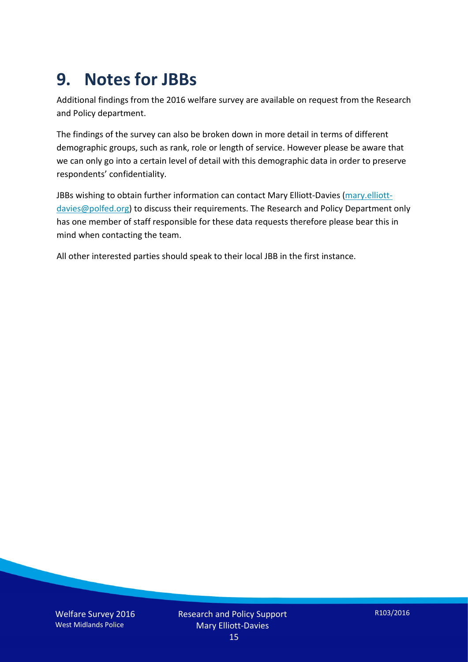## **9. Notes for JBBs**

Additional findings from the 2016 welfare survey are available on request from the Research and Policy department.

The findings of the survey can also be broken down in more detail in terms of different demographic groups, such as rank, role or length of service. However please be aware that we can only go into a certain level of detail with this demographic data in order to preserve respondents' confidentiality.

JBBs wishing to obtain further information can contact Mary Elliott-Davies [\(mary.elliott](mailto:mary.elliott-davies@polfed.org)[davies@polfed.org\)](mailto:mary.elliott-davies@polfed.org) to discuss their requirements. The Research and Policy Department only has one member of staff responsible for these data requests therefore please bear this in mind when contacting the team.

All other interested parties should speak to their local JBB in the first instance.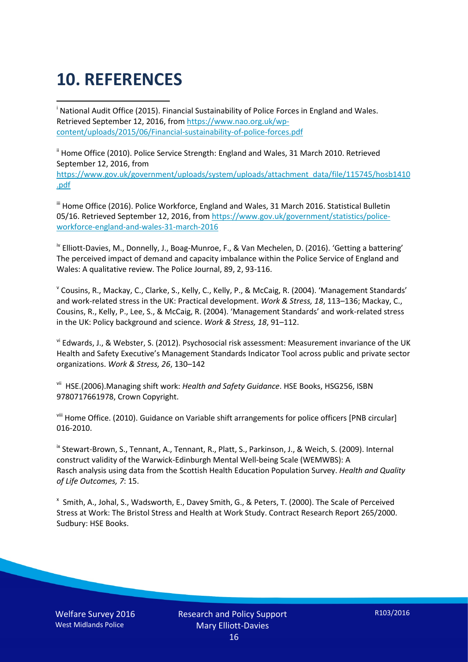# **10. REFERENCES**

<span id="page-15-0"></span>i National Audit Office (2015). Financial Sustainability of Police Forces in England and Wales. Retrieved September 12, 2016, fro[m https://www.nao.org.uk/wp](https://www.nao.org.uk/wp-content/uploads/2015/06/Financial-sustainability-of-police-forces.pdf)[content/uploads/2015/06/Financial-sustainability-of-police-forces.pdf](https://www.nao.org.uk/wp-content/uploads/2015/06/Financial-sustainability-of-police-forces.pdf)

<span id="page-15-1"></span><sup>ii</sup> Home Office (2010). Police Service Strength: England and Wales, 31 March 2010. Retrieved September 12, 2016, from [https://www.gov.uk/government/uploads/system/uploads/attachment\\_data/file/115745/hosb1410](https://www.gov.uk/government/uploads/system/uploads/attachment_data/file/115745/hosb1410.pdf) [.pdf](https://www.gov.uk/government/uploads/system/uploads/attachment_data/file/115745/hosb1410.pdf)

<span id="page-15-2"></span><sup>iii</sup> Home Office (2016). Police Workforce, England and Wales, 31 March 2016. Statistical Bulletin 05/16. Retrieved September 12, 2016, fro[m https://www.gov.uk/government/statistics/police](https://www.gov.uk/government/statistics/police-workforce-england-and-wales-31-march-2016)[workforce-england-and-wales-31-march-2016](https://www.gov.uk/government/statistics/police-workforce-england-and-wales-31-march-2016)

<span id="page-15-3"></span><sup>iv</sup> Elliott-Davies, M., Donnelly, J., Boag-Munroe, F., & Van Mechelen, D. (2016). 'Getting a battering' The perceived impact of demand and capacity imbalance within the Police Service of England and Wales: A qualitative review. The Police Journal, 89, 2, 93-116.

<span id="page-15-4"></span><sup>v</sup> Cousins, R., Mackay, C., Clarke, S., Kelly, C., Kelly, P., & McCaig, R. (2004). 'Management Standards' and work-related stress in the UK: Practical development. *Work & Stress, 18*, 113–136; Mackay, C., Cousins, R., Kelly, P., Lee, S., & McCaig, R. (2004). 'Management Standards' and work-related stress in the UK: Policy background and science. *Work & Stress, 18*, 91–112.

<span id="page-15-5"></span>vi Edwards, J., & Webster, S. (2012). Psychosocial risk assessment: Measurement invariance of the UK Health and Safety Executive's Management Standards Indicator Tool across public and private sector organizations. *Work & Stress, 26*, 130–142

<span id="page-15-6"></span>vii HSE.(2006).Managing shift work: *Health and Safety Guidance*. HSE Books, HSG256, ISBN 9780717661978, Crown Copyright.

<span id="page-15-7"></span>viii Home Office. (2010). Guidance on Variable shift arrangements for police officers [PNB circular] 016-2010.

<span id="page-15-8"></span><sup>ix</sup> Stewart-Brown, S., Tennant, A., Tennant, R., Platt, S., Parkinson, J., & Weich, S. (2009). Internal construct validity of the Warwick-Edinburgh Mental Well-being Scale (WEMWBS): A Rasch analysis using data from the Scottish Health Education Population Survey. *Health and Quality of Life Outcomes, 7*: 15.

<span id="page-15-9"></span>x Smith, A., Johal, S., Wadsworth, E., Davey Smith, G., & Peters, T. (2000). The Scale of Perceived Stress at Work: The Bristol Stress and Health at Work Study. Contract Research Report 265/2000. Sudbury: HSE Books.